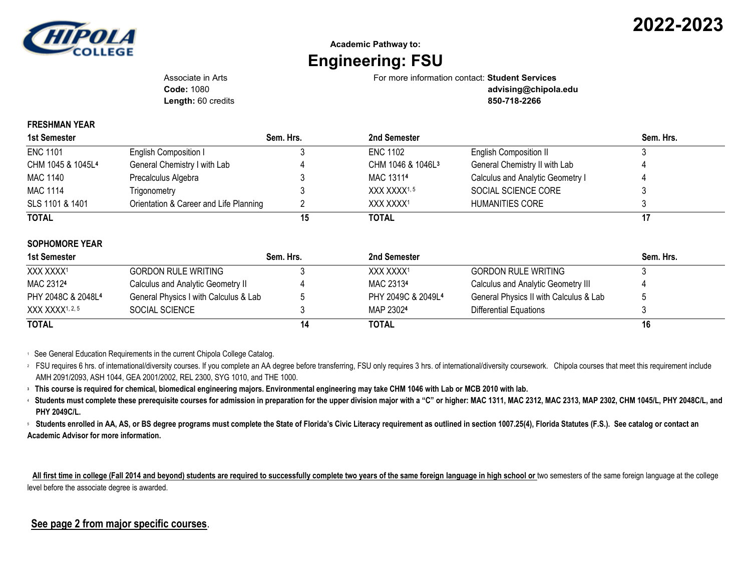

## **Academic Pathway to: Engineering: FSU**

Associate in Arts For more information contact: **Student Services**

**Length:** 60 credits **850-718-2266**

**Code:** 1080 **advising@chipola.edu**

## **FRESHMAN YEAR**

| 1st Semester                  |                                        | Sem. Hrs. | 2nd Semester                  |                                  | Sem. Hrs. |
|-------------------------------|----------------------------------------|-----------|-------------------------------|----------------------------------|-----------|
| <b>ENC 1101</b>               | English Composition I                  |           | <b>ENC 1102</b>               | <b>English Composition II</b>    |           |
| CHM 1045 & 1045L <sup>4</sup> | General Chemistry I with Lab           |           | CHM 1046 & 1046L <sup>3</sup> | General Chemistry II with Lab    |           |
| MAC 1140                      | Precalculus Algebra                    |           | MAC 13114                     | Calculus and Analytic Geometry I |           |
| <b>MAC 1114</b>               | Trigonometry                           |           | XXX XXXX <sup>1,5</sup>       | SOCIAL SCIENCE CORE              |           |
| SLS 1101 & 1401               | Orientation & Career and Life Planning |           | XXX XXXX <sup>1</sup>         | HUMANITIES CORE                  |           |
| <b>TOTAL</b>                  |                                        | 15        | <b>TOTAL</b>                  |                                  |           |

## **SOPHOMORE YEAR**

| 1st Semester                   |                                       | Sem. Hrs. | 2nd Semester          |                                        | Sem. Hrs. |
|--------------------------------|---------------------------------------|-----------|-----------------------|----------------------------------------|-----------|
| XXX XXXX1                      | <b>GORDON RULE WRITING</b>            |           | XXX XXXX <sup>1</sup> | GORDON RULE WRITING                    |           |
| MAC 23124                      | Calculus and Analytic Geometry II     |           | MAC 23134             | Calculus and Analytic Geometry III     |           |
| PHY 2048C & 2048L <sup>4</sup> | General Physics I with Calculus & Lab |           | PHY 2049C & 2049L4    | General Physics II with Calculus & Lab |           |
| XXX XXXX1, 2, 5                | SOCIAL SCIENCE                        |           | MAP 23024             | Differential Equations                 |           |
| <b>TOTAL</b>                   |                                       | 14        | TOTAL                 |                                        | 16        |

<sup>1</sup> See General Education Requirements in the current Chipola College Catalog.

<sup>2</sup> FSU requires 6 hrs. of international/diversity courses. If you complete an AA degree before transferring, FSU only requires 3 hrs. of international/diversity coursework. Chipola courses that meet this requirement inclu AMH 2091/2093, ASH 1044, GEA 2001/2002, REL 2300, SYG 1010, and THE 1000.

**<sup>3</sup> This course is required for chemical, biomedical engineering majors. Environmental engineering may take CHM 1046 with Lab or MCB 2010 with lab.**

<sup>4</sup> **Students must complete these prerequisite courses for admission in preparation for the upper division major with a "C" or higher: MAC 1311, MAC 2312, MAC 2313, MAP 2302, CHM 1045/L, PHY 2048C/L, and PHY 2049C/L.**

<sup>5</sup>**Students enrolled in AA, AS, or BS degree programs must complete the State of Florida's Civic Literacy requirement as outlined in section 1007.25(4), Florida Statutes (F.S.). See catalog or contact an Academic Advisor for more information.**

 **All first time in college (Fall 2014 and beyond) students are required to successfully complete two years of the same foreign language in high school or** two semesters of the same foreign language at the college level before the associate degree is awarded.

## **See page 2 from major specific courses**.